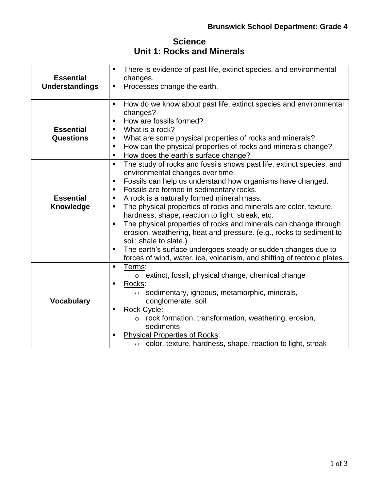## **Science Unit 1: Rocks and Minerals**

| <b>Essential</b><br><b>Understandings</b> | There is evidence of past life, extinct species, and environmental<br>$\blacksquare$<br>changes.<br>Processes change the earth.<br>Е                                                                                                                                                                                                                                                                                                                                                                                                                                                                                                                                                                                                                       |
|-------------------------------------------|------------------------------------------------------------------------------------------------------------------------------------------------------------------------------------------------------------------------------------------------------------------------------------------------------------------------------------------------------------------------------------------------------------------------------------------------------------------------------------------------------------------------------------------------------------------------------------------------------------------------------------------------------------------------------------------------------------------------------------------------------------|
| <b>Essential</b><br><b>Questions</b>      | How do we know about past life, extinct species and environmental<br>$\blacksquare$<br>changes?<br>How are fossils formed?<br>$\blacksquare$<br>What is a rock?<br>$\blacksquare$<br>What are some physical properties of rocks and minerals?<br>$\blacksquare$<br>How can the physical properties of rocks and minerals change?<br>п<br>How does the earth's surface change?<br>п                                                                                                                                                                                                                                                                                                                                                                         |
| <b>Essential</b><br>Knowledge             | The study of rocks and fossils shows past life, extinct species, and<br>$\blacksquare$<br>environmental changes over time.<br>Fossils can help us understand how organisms have changed.<br>п<br>Fossils are formed in sedimentary rocks.<br>п<br>A rock is a naturally formed mineral mass.<br>٠<br>The physical properties of rocks and minerals are color, texture,<br>П<br>hardness, shape, reaction to light, streak, etc.<br>The physical properties of rocks and minerals can change through<br>п<br>erosion, weathering, heat and pressure. (e.g., rocks to sediment to<br>soil; shale to slate.)<br>The earth's surface undergoes steady or sudden changes due to<br>П<br>forces of wind, water, ice, volcanism, and shifting of tectonic plates. |
| <b>Vocabulary</b>                         | Terms:<br>$\blacksquare$<br>$\circ$ extinct, fossil, physical change, chemical change<br>Rocks:<br>п<br>sedimentary, igneous, metamorphic, minerals,<br>$\circ$<br>conglomerate, soil<br><b>Rock Cycle:</b><br>п<br>rock formation, transformation, weathering, erosion,<br>$\circ$<br>sediments<br><b>Physical Properties of Rocks:</b><br>п<br>color, texture, hardness, shape, reaction to light, streak<br>$\circ$                                                                                                                                                                                                                                                                                                                                     |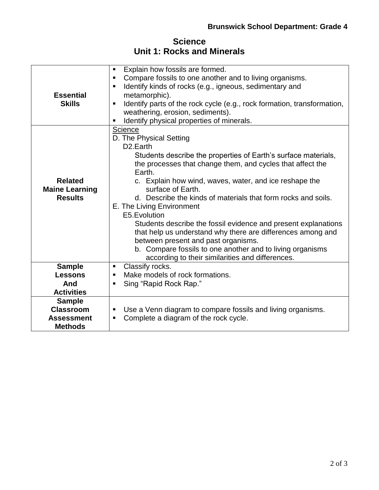| <b>Science</b> |  |  |  |                            |
|----------------|--|--|--|----------------------------|
|                |  |  |  | Unit 1: Rocks and Minerals |

| <b>Essential</b><br><b>Skills</b>                                        | Explain how fossils are formed.<br>٠<br>Compare fossils to one another and to living organisms.<br>$\blacksquare$<br>Identify kinds of rocks (e.g., igneous, sedimentary and<br>$\blacksquare$<br>metamorphic).<br>Identify parts of the rock cycle (e.g., rock formation, transformation,<br>$\blacksquare$<br>weathering, erosion, sediments).<br>Identify physical properties of minerals.                                                                                                                                                                                                                                                                                               |
|--------------------------------------------------------------------------|---------------------------------------------------------------------------------------------------------------------------------------------------------------------------------------------------------------------------------------------------------------------------------------------------------------------------------------------------------------------------------------------------------------------------------------------------------------------------------------------------------------------------------------------------------------------------------------------------------------------------------------------------------------------------------------------|
| <b>Related</b><br><b>Maine Learning</b><br><b>Results</b>                | Science<br>D. The Physical Setting<br>D <sub>2</sub> .Earth<br>Students describe the properties of Earth's surface materials,<br>the processes that change them, and cycles that affect the<br>Earth.<br>c. Explain how wind, waves, water, and ice reshape the<br>surface of Earth.<br>d. Describe the kinds of materials that form rocks and soils.<br>E. The Living Environment<br>E5.Evolution<br>Students describe the fossil evidence and present explanations<br>that help us understand why there are differences among and<br>between present and past organisms.<br>b. Compare fossils to one another and to living organisms<br>according to their similarities and differences. |
| <b>Sample</b><br><b>Lessons</b><br>And<br><b>Activities</b>              | Classify rocks.<br>$\blacksquare$<br>Make models of rock formations.<br>$\blacksquare$<br>Sing "Rapid Rock Rap."                                                                                                                                                                                                                                                                                                                                                                                                                                                                                                                                                                            |
| <b>Sample</b><br><b>Classroom</b><br><b>Assessment</b><br><b>Methods</b> | Use a Venn diagram to compare fossils and living organisms.<br>п<br>Complete a diagram of the rock cycle.<br>п                                                                                                                                                                                                                                                                                                                                                                                                                                                                                                                                                                              |